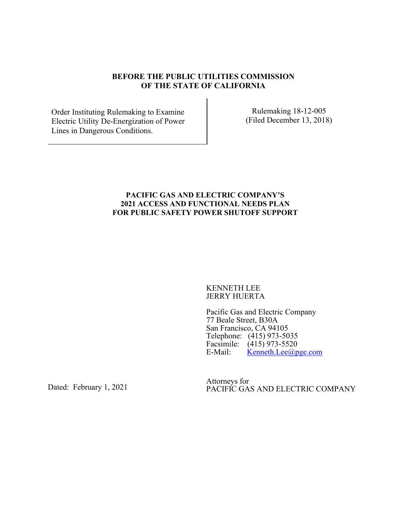#### **BEFORE THE PUBLIC UTILITIES COMMISSION OF THE STATE OF CALIFORNIA**

Order Instituting Rulemaking to Examine Electric Utility De-Energization of Power Lines in Dangerous Conditions.

Rulemaking 18-12-005 (Filed December 13, 2018)

#### **PACIFIC GAS AND ELECTRIC COMPANY'S 2021 ACCESS AND FUNCTIONAL NEEDS PLAN FOR PUBLIC SAFETY POWER SHUTOFF SUPPORT**

KENNETH LEE JERRY HUERTA

Pacific Gas and Electric Company 77 Beale Street, B30A San Francisco, CA 94105 Telephone: (415) 973-5035 Facsimile:  $(415)$  973-5520<br>E-Mail: Kenneth Lee@n  $\text{Kenneth.}$ Lee@pge.com

Dated: February 1, 2021

Attorneys for PACIFIC GAS AND ELECTRIC COMPANY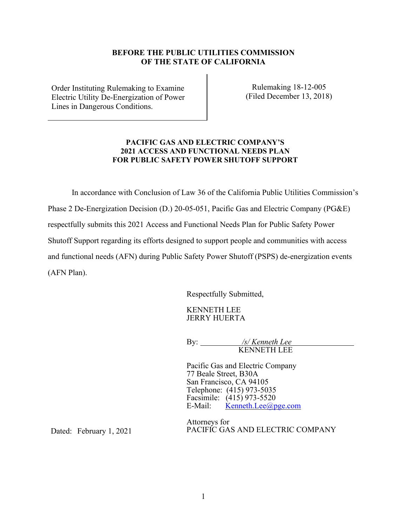#### **BEFORE THE PUBLIC UTILITIES COMMISSION OF THE STATE OF CALIFORNIA**

Order Instituting Rulemaking to Examine Electric Utility De-Energization of Power Lines in Dangerous Conditions.

Rulemaking 18-12-005 (Filed December 13, 2018)

#### **PACIFIC GAS AND ELECTRIC COMPANY'S 2021 ACCESS AND FUNCTIONAL NEEDS PLAN FOR PUBLIC SAFETY POWER SHUTOFF SUPPORT**

In accordance with Conclusion of Law 36 of the California Public Utilities Commission's Phase 2 De-Energization Decision (D.) 20-05-051, Pacific Gas and Electric Company (PG&E) respectfully submits this 2021 Access and Functional Needs Plan for Public Safety Power Shutoff Support regarding its efforts designed to support people and communities with access and functional needs (AFN) during Public Safety Power Shutoff (PSPS) de-energization events

Respectfully Submitted,

KENNETH LEE JERRY HUERTA

By: */s/ Kenneth Lee* KENNETH LEE

Pacific Gas and Electric Company 77 Beale Street, B30A San Francisco, CA 94105 Telephone: (415) 973-5035 Facsimile:  $(415)$  973-5520<br>E-Mail: Kenneth.Lee@p  $Kenneth. Lee(*a*)<sub>pge.com</sub>$ 

Dated: February 1, 2021

(AFN Plan).

Attorneys for PACIFIC GAS AND ELECTRIC COMPANY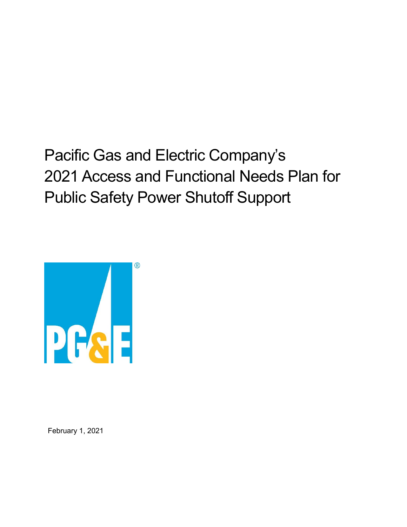Pacific Gas and Electric Company's 2021 Access and Functional Needs Plan for Public Safety Power Shutoff Support



February 1, 2021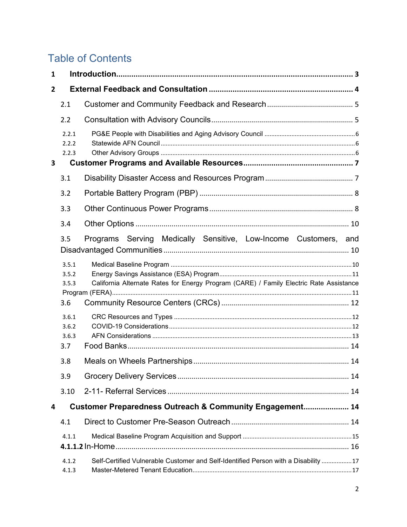# **Table of Contents**

| $\mathbf{1}$   |                                |                                                                                        |  |  |  |  |
|----------------|--------------------------------|----------------------------------------------------------------------------------------|--|--|--|--|
| $\overline{2}$ |                                |                                                                                        |  |  |  |  |
|                | 2.1                            |                                                                                        |  |  |  |  |
|                | 2.2                            |                                                                                        |  |  |  |  |
|                | 2.2.1<br>2.2.2<br>2.2.3        |                                                                                        |  |  |  |  |
| 3              |                                |                                                                                        |  |  |  |  |
|                | 3.1                            |                                                                                        |  |  |  |  |
|                | 3.2                            |                                                                                        |  |  |  |  |
|                | 3.3                            |                                                                                        |  |  |  |  |
|                | 3.4                            |                                                                                        |  |  |  |  |
|                | 3.5                            | Programs Serving Medically Sensitive, Low-Income Customers, and                        |  |  |  |  |
|                | 3.5.1<br>3.5.2<br>3.5.3<br>3.6 | California Alternate Rates for Energy Program (CARE) / Family Electric Rate Assistance |  |  |  |  |
|                | 3.6.1<br>3.6.2<br>3.6.3<br>3.7 |                                                                                        |  |  |  |  |
|                | 3.8                            |                                                                                        |  |  |  |  |
|                | 3.9                            |                                                                                        |  |  |  |  |
|                | 3.10                           |                                                                                        |  |  |  |  |
| 4              |                                | Customer Preparedness Outreach & Community Engagement 14                               |  |  |  |  |
|                | 4.1                            |                                                                                        |  |  |  |  |
|                | 4.1.1                          |                                                                                        |  |  |  |  |
|                |                                |                                                                                        |  |  |  |  |
|                | 4.1.2<br>4.1.3                 | Self-Certified Vulnerable Customer and Self-Identified Person with a Disability 17     |  |  |  |  |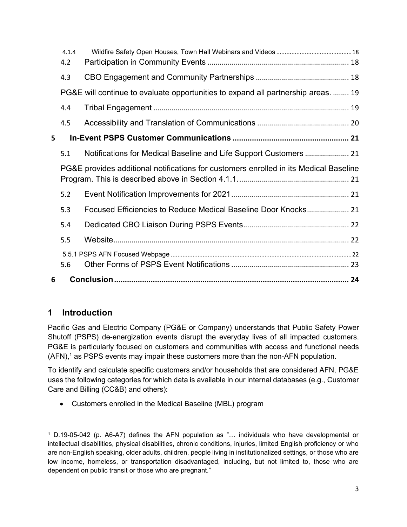|                                                                                       | 4.1.4<br>4.2 |                                                                                   |  |  |  |
|---------------------------------------------------------------------------------------|--------------|-----------------------------------------------------------------------------------|--|--|--|
|                                                                                       | 4.3          |                                                                                   |  |  |  |
|                                                                                       |              | PG&E will continue to evaluate opportunities to expand all partnership areas.  19 |  |  |  |
|                                                                                       | 4.4          |                                                                                   |  |  |  |
|                                                                                       | 4.5          |                                                                                   |  |  |  |
| 5                                                                                     |              |                                                                                   |  |  |  |
|                                                                                       | 5.1          |                                                                                   |  |  |  |
| PG&E provides additional notifications for customers enrolled in its Medical Baseline |              |                                                                                   |  |  |  |
|                                                                                       | 5.2          |                                                                                   |  |  |  |
|                                                                                       | 5.3          | Focused Efficiencies to Reduce Medical Baseline Door Knocks 21                    |  |  |  |
|                                                                                       | 5.4          |                                                                                   |  |  |  |
|                                                                                       | 5.5          |                                                                                   |  |  |  |
|                                                                                       |              |                                                                                   |  |  |  |
|                                                                                       | 5.6          |                                                                                   |  |  |  |
| 6                                                                                     |              |                                                                                   |  |  |  |

# <span id="page-4-0"></span>**1 Introduction**

Pacific Gas and Electric Company (PG&E or Company) understands that Public Safety Power Shutoff (PSPS) de-energization events disrupt the everyday lives of all impacted customers. PG&E is particularly focused on customers and communities with access and functional needs  $(AFN)$ ,<sup>1</sup> as PSPS events may impair these customers more than the non-AFN population.

To identify and calculate specific customers and/or households that are considered AFN, PG&E uses the following categories for which data is available in our internal databases (e.g., Customer Care and Billing (CC&B) and others):

• Customers enrolled in the Medical Baseline (MBL) program

<sup>1</sup> D.19-05-042 (p. A6-A7) defines the AFN population as "… individuals who have developmental or intellectual disabilities, physical disabilities, chronic conditions, injuries, limited English proficiency or who are non-English speaking, older adults, children, people living in institutionalized settings, or those who are low income, homeless, or transportation disadvantaged, including, but not limited to, those who are dependent on public transit or those who are pregnant."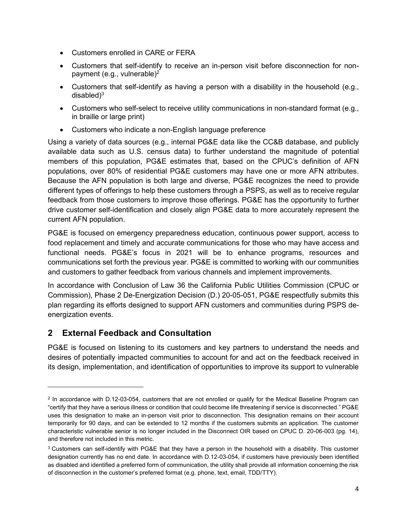- Customers enrolled in CARE or FERA
- Customers that self-identify to receive an in-person visit before disconnection for nonpayment (e.g., vulnerable)<sup>2</sup>
- Customers that self-identify as having a person with a disability in the household (e.g., disabled $)^3$
- Customers who self-select to receive utility communications in non-standard format (e.g., in braille or large print)
- Customers who indicate a non-English language preference

Using a variety of data sources (e.g., internal PG&E data like the CC&B database, and publicly available data such as U.S. census data) to further understand the magnitude of potential members of this population, PG&E estimates that, based on the CPUC's definition of AFN populations, over 80% of residential PG&E customers may have one or more AFN attributes. Because the AFN population is both large and diverse, PG&E recognizes the need to provide different types of offerings to help these customers through a PSPS, as well as to receive regular feedback from those customers to improve those offerings. PG&E has the opportunity to further drive customer self-identification and closely align PG&E data to more accurately represent the current AFN population.

PG&E is focused on emergency preparedness education, continuous power support, access to food replacement and timely and accurate communications for those who may have access and functional needs. PG&E's focus in 2021 will be to enhance programs, resources and communications set forth the previous year. PG&E is committed to working with our communities and customers to gather feedback from various channels and implement improvements.

In accordance with Conclusion of Law 36 the California Public Utilities Commission (CPUC or Commission), Phase 2 De-Energization Decision (D.) 20-05-051, PG&E respectfully submits this plan regarding its efforts designed to support AFN customers and communities during PSPS deenergization events.

### <span id="page-5-0"></span>**2 External Feedback and Consultation**

PG&E is focused on listening to its customers and key partners to understand the needs and desires of potentially impacted communities to account for and act on the feedback received in its design, implementation, and identification of opportunities to improve its support to vulnerable

<sup>2</sup> In accordance with D.12-03-054, customers that are not enrolled or qualify for the Medical Baseline Program can "certify that they have a serious illness or condition that could become life threatening if service is disconnected." PG&E uses this designation to make an in-person visit prior to disconnection. This designation remains on their account temporarily for 90 days, and can be extended to 12 months if the customers submits an application. The customer characteristic vulnerable senior is no longer included in the Disconnect OIR based on CPUC D. 20-06-003 (pg. 14), and therefore not included in this metric.

<sup>3</sup> Customers can self-identify with PG&E that they have a person in the household with a disability. This customer designation currently has no end date. In accordance with D.12-03-054, if customers have previously been identified as disabled and identified a preferred form of communication, the utility shall provide all information concerning the risk of disconnection in the customer's preferred format (e.g. phone, text, email, TDD/TTY).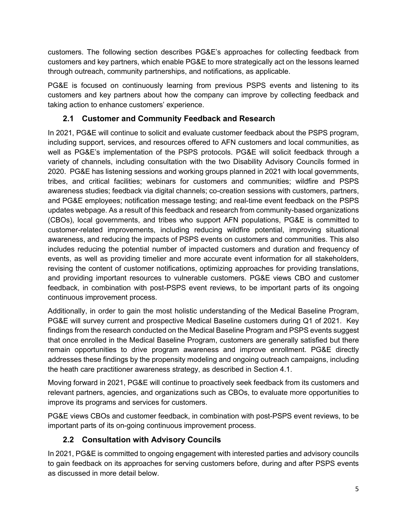customers. The following section describes PG&E's approaches for collecting feedback from customers and key partners, which enable PG&E to more strategically act on the lessons learned through outreach, community partnerships, and notifications, as applicable.

PG&E is focused on continuously learning from previous PSPS events and listening to its customers and key partners about how the company can improve by collecting feedback and taking action to enhance customers' experience.

## **2.1 Customer and Community Feedback and Research**

<span id="page-6-0"></span>In 2021, PG&E will continue to solicit and evaluate customer feedback about the PSPS program, including support, services, and resources offered to AFN customers and local communities, as well as PG&E's implementation of the PSPS protocols. PG&E will solicit feedback through a variety of channels, including consultation with the two Disability Advisory Councils formed in 2020. PG&E has listening sessions and working groups planned in 2021 with local governments, tribes, and critical facilities; webinars for customers and communities; wildfire and PSPS awareness studies; feedback via digital channels; co-creation sessions with customers, partners, and PG&E employees; notification message testing; and real-time event feedback on the PSPS updates webpage. As a result of this feedback and research from community-based organizations (CBOs), local governments, and tribes who support AFN populations, PG&E is committed to customer-related improvements, including reducing wildfire potential, improving situational awareness, and reducing the impacts of PSPS events on customers and communities. This also includes reducing the potential number of impacted customers and duration and frequency of events, as well as providing timelier and more accurate event information for all stakeholders, revising the content of customer notifications, optimizing approaches for providing translations, and providing important resources to vulnerable customers. PG&E views CBO and customer feedback, in combination with post-PSPS event reviews, to be important parts of its ongoing continuous improvement process.

Additionally, in order to gain the most holistic understanding of the Medical Baseline Program, PG&E will survey current and prospective Medical Baseline customers during Q1 of 2021. Key findings from the research conducted on the Medical Baseline Program and PSPS events suggest that once enrolled in the Medical Baseline Program, customers are generally satisfied but there remain opportunities to drive program awareness and improve enrollment. PG&E directly addresses these findings by the propensity modeling and ongoing outreach campaigns, including the heath care practitioner awareness strategy, as described in Section [4.1.](#page-15-5)

Moving forward in 2021, PG&E will continue to proactively seek feedback from its customers and relevant partners, agencies, and organizations such as CBOs, to evaluate more opportunities to improve its programs and services for customers.

PG&E views CBOs and customer feedback, in combination with post-PSPS event reviews, to be important parts of its on-going continuous improvement process.

### **2.2 Consultation with Advisory Councils**

<span id="page-6-1"></span>In 2021, PG&E is committed to ongoing engagement with interested parties and advisory councils to gain feedback on its approaches for serving customers before, during and after PSPS events as discussed in more detail below.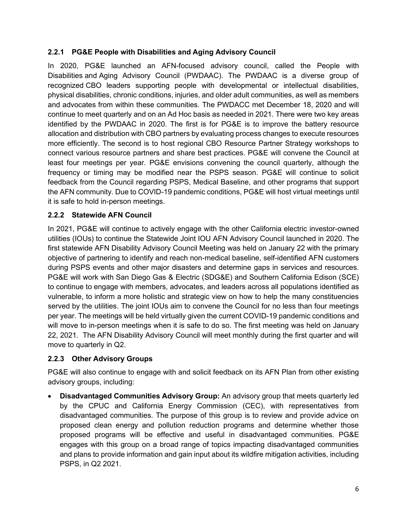#### <span id="page-7-0"></span>**2.2.1 PG&E People with Disabilities and Aging Advisory Council**

In 2020, PG&E launched an AFN-focused advisory council, called the People with Disabilities and Aging Advisory Council (PWDAAC). The PWDAAC is a diverse group of recognized CBO leaders supporting people with developmental or intellectual disabilities, physical disabilities, chronic conditions, injuries, and older adult communities, as well as members and advocates from within these communities. The PWDACC met December 18, 2020 and will continue to meet quarterly and on an Ad Hoc basis as needed in 2021. There were two key areas identified by the PWDAAC in 2020. The first is for PG&E is to improve the battery resource allocation and distribution with CBO partners by evaluating process changes to execute resources more efficiently. The second is to host regional CBO Resource Partner Strategy workshops to connect various resource partners and share best practices. PG&E will convene the Council at least four meetings per year. PG&E envisions convening the council quarterly, although the frequency or timing may be modified near the PSPS season. PG&E will continue to solicit feedback from the Council regarding PSPS, Medical Baseline, and other programs that support the AFN community. Due to COVID-19 pandemic conditions, PG&E will host virtual meetings until it is safe to hold in-person meetings.

#### <span id="page-7-1"></span>**2.2.2 Statewide AFN Council**

In 2021, PG&E will continue to actively engage with the other California electric investor-owned utilities (IOUs) to continue the Statewide Joint IOU AFN Advisory Council launched in 2020. The first statewide AFN Disability Advisory Council Meeting was held on January 22 with the primary objective of partnering to identify and reach non-medical baseline, self-identified AFN customers during PSPS events and other major disasters and determine gaps in services and resources. PG&E will work with San Diego Gas & Electric (SDG&E) and Southern California Edison (SCE) to continue to engage with members, advocates, and leaders across all populations identified as vulnerable, to inform a more holistic and strategic view on how to help the many constituencies served by the utilities. The joint IOUs aim to convene the Council for no less than four meetings per year. The meetings will be held virtually given the current COVID-19 pandemic conditions and will move to in-person meetings when it is safe to do so. The first meeting was held on January 22, 2021. The AFN Disability Advisory Council will meet monthly during the first quarter and will move to quarterly in Q2.

#### <span id="page-7-2"></span>**2.2.3 Other Advisory Groups**

PG&E will also continue to engage with and solicit feedback on its AFN Plan from other existing advisory groups, including:

• **Disadvantaged Communities Advisory Group:** An advisory group that meets quarterly led by the CPUC and California Energy Commission (CEC), with representatives from disadvantaged communities. The purpose of this group is to review and provide advice on proposed clean energy and pollution reduction programs and determine whether those proposed programs will be effective and useful in disadvantaged communities. PG&E engages with this group on a broad range of topics impacting disadvantaged communities and plans to provide information and gain input about its wildfire mitigation activities, including PSPS, in Q2 2021.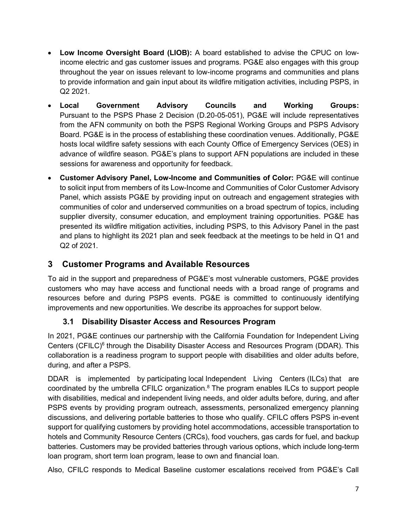- **Low Income Oversight Board (LIOB):** A board established to advise the CPUC on lowincome electric and gas customer issues and programs. PG&E also engages with this group throughout the year on issues relevant to low-income programs and communities and plans to provide information and gain input about its wildfire mitigation activities, including PSPS, in Q2 2021.
- **Local Government Advisory Councils and Working Groups:**  Pursuant to the PSPS Phase 2 Decision (D.20-05-051), PG&E will include representatives from the AFN community on both the PSPS Regional Working Groups and PSPS Advisory Board. PG&E is in the process of establishing these coordination venues. Additionally, PG&E hosts local wildfire safety sessions with each County Office of Emergency Services (OES) in advance of wildfire season. PG&E's plans to support AFN populations are included in these sessions for awareness and opportunity for feedback.
- **Customer Advisory Panel, Low-Income and Communities of Color:** PG&E will continue to solicit input from members of its Low-Income and Communities of Color Customer Advisory Panel, which assists PG&E by providing input on outreach and engagement strategies with communities of color and underserved communities on a broad spectrum of topics, including supplier diversity, consumer education, and employment training opportunities. PG&E has presented its wildfire mitigation activities, including PSPS, to this Advisory Panel in the past and plans to highlight its 2021 plan and seek feedback at the meetings to be held in Q1 and Q2 of 2021.

# <span id="page-8-0"></span>**3 Customer Programs and Available Resources**

To aid in the support and preparedness of PG&E's most vulnerable customers, PG&E provides customers who may have access and functional needs with a broad range of programs and resources before and during PSPS events. PG&E is committed to continuously identifying improvements and new opportunities. We describe its approaches for support below.

### **3.1 Disability Disaster Access and Resources Program**

<span id="page-8-1"></span>In 2021, PG&E continues our partnership with the California Foundation for Independent Living Centers (CFILC)<sup>6</sup> through the Disability Disaster Access and Resources Program (DDAR). This collaboration is a readiness program to support people with disabilities and older adults before, during, and after a PSPS.

DDAR is implemented by participating local Independent Living Centers (ILCs) that are coordinated by the umbrella CFILC organization. <sup>8</sup> The program enables ILCs to support people with disabilities, medical and independent living needs, and older adults before, during, and after PSPS events by providing program outreach, assessments, personalized emergency planning discussions, and delivering portable batteries to those who qualify. CFILC offers PSPS in-event support for qualifying customers by providing hotel accommodations, accessible transportation to hotels and Community Resource Centers (CRCs), food vouchers, gas cards for fuel, and backup batteries. Customers may be provided batteries through various options, which include long-term loan program, short term loan program, lease to own and financial loan.

Also, CFILC responds to Medical Baseline customer escalations received from PG&E's Call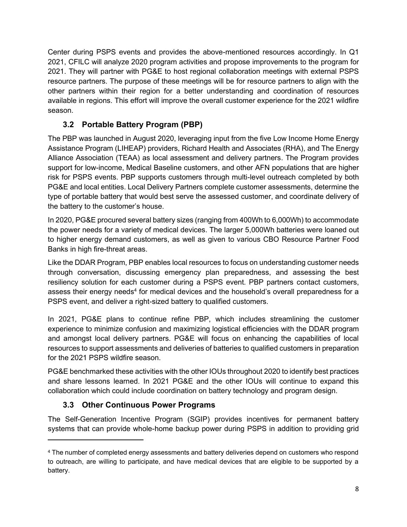Center during PSPS events and provides the above-mentioned resources accordingly. In Q1 2021, CFILC will analyze 2020 program activities and propose improvements to the program for 2021. They will partner with PG&E to host regional collaboration meetings with external PSPS resource partners. The purpose of these meetings will be for resource partners to align with the other partners within their region for a better understanding and coordination of resources available in regions. This effort will improve the overall customer experience for the 2021 wildfire season.

# **3.2 Portable Battery Program (PBP)**

<span id="page-9-0"></span>The PBP was launched in August 2020, leveraging input from the five Low Income Home Energy Assistance Program (LIHEAP) providers, Richard Health and Associates (RHA), and The Energy Alliance Association (TEAA) as local assessment and delivery partners. The Program provides support for low-income, Medical Baseline customers, and other AFN populations that are higher risk for PSPS events. PBP supports customers through multi-level outreach completed by both PG&E and local entities. Local Delivery Partners complete customer assessments, determine the type of portable battery that would best serve the assessed customer, and coordinate delivery of the battery to the customer's house.

In 2020, PG&E procured several battery sizes (ranging from 400Wh to 6,000Wh) to accommodate the power needs for a variety of medical devices. The larger 5,000Wh batteries were loaned out to higher energy demand customers, as well as given to various CBO Resource Partner Food Banks in high fire-threat areas.

Like the DDAR Program, PBP enables local resources to focus on understanding customer needs through conversation, discussing emergency plan preparedness, and assessing the best resiliency solution for each customer during a PSPS event. PBP partners contact customers, assess their energy needs<sup>4</sup> for medical devices and the household's overall preparedness for a PSPS event, and deliver a right-sized battery to qualified customers.

In 2021, PG&E plans to continue refine PBP, which includes streamlining the customer experience to minimize confusion and maximizing logistical efficiencies with the DDAR program and amongst local delivery partners. PG&E will focus on enhancing the capabilities of local resources to support assessments and deliveries of batteries to qualified customers in preparation for the 2021 PSPS wildfire season.

PG&E benchmarked these activities with the other IOUs throughout 2020 to identify best practices and share lessons learned. In 2021 PG&E and the other IOUs will continue to expand this collaboration which could include coordination on battery technology and program design.

# **3.3 Other Continuous Power Programs**

<span id="page-9-1"></span>The Self-Generation Incentive Program (SGIP) provides incentives for permanent battery systems that can provide whole-home backup power during PSPS in addition to providing grid

<sup>4</sup> The number of completed energy assessments and battery deliveries depend on customers who respond to outreach, are willing to participate, and have medical devices that are eligible to be supported by a battery.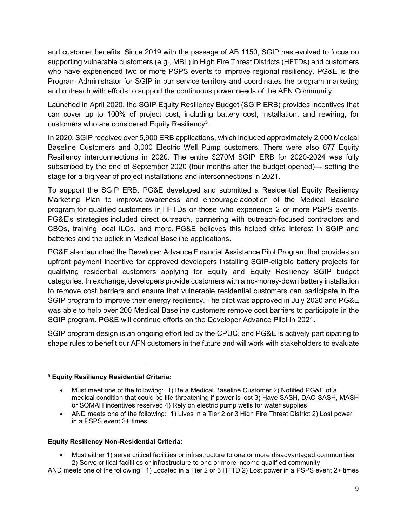and customer benefits. Since 2019 with the passage of AB 1150, SGIP has evolved to focus on supporting vulnerable customers (e.g., MBL) in High Fire Threat Districts (HFTDs) and customers who have experienced two or more PSPS events to improve regional resiliency. PG&E is the Program Administrator for SGIP in our service territory and coordinates the program marketing and outreach with efforts to support the continuous power needs of the AFN Community.

Launched in April 2020, the SGIP Equity Resiliency Budget (SGIP ERB) provides incentives that can cover up to 100% of project cost, including battery cost, installation, and rewiring, for customers who are considered Equity Resiliency<sup>5</sup>.

In 2020, SGIP received over 5,900 ERB applications, which included approximately 2,000 Medical Baseline Customers and 3,000 Electric Well Pump customers. There were also 677 Equity Resiliency interconnections in 2020. The entire \$270M SGIP ERB for 2020-2024 was fully subscribed by the end of September 2020 (four months after the budget opened)— setting the stage for a big year of project installations and interconnections in 2021.

To support the SGIP ERB, PG&E developed and submitted a Residential Equity Resiliency Marketing Plan to improve awareness and encourage adoption of the Medical Baseline program for qualified customers in HFTDs or those who experience 2 or more PSPS events. PG&E's strategies included direct outreach, partnering with outreach-focused contractors and CBOs, training local ILCs, and more. PG&E believes this helped drive interest in SGIP and batteries and the uptick in Medical Baseline applications.

PG&E also launched the Developer Advance Financial Assistance Pilot Program that provides an upfront payment incentive for approved developers installing SGIP-eligible battery projects for qualifying residential customers applying for Equity and Equity Resiliency SGIP budget categories. In exchange, developers provide customers with a no-money-down battery installation to remove cost barriers and ensure that vulnerable residential customers can participate in the SGIP program to improve their energy resiliency. The pilot was approved in July 2020 and PG&E was able to help over 200 Medical Baseline customers remove cost barriers to participate in the SGIP program. PG&E will continue efforts on the Developer Advance Pilot in 2021.

SGIP program design is an ongoing effort led by the CPUC, and PG&E is actively participating to shape rules to benefit our AFN customers in the future and will work with stakeholders to evaluate

#### <sup>5</sup> **Equity Resiliency Residential Criteria:**

• AND meets one of the following: 1) Lives in a Tier 2 or 3 High Fire Threat District 2) Lost power in a PSPS event 2+ times

#### **Equity Resiliency Non-Residential Criteria:**

• Must either 1) serve critical facilities or infrastructure to one or more disadvantaged communities 2) Serve critical facilities or infrastructure to one or more income qualified community

AND meets one of the following: 1) Located in a Tier 2 or 3 HFTD 2) Lost power in a PSPS event 2+ times

<sup>•</sup> Must meet one of the following: 1) Be a Medical Baseline Customer 2) Notified PG&E of a medical condition that could be life-threatening if power is lost 3) Have SASH, DAC-SASH, MASH or SOMAH incentives reserved 4) Rely on electric pump wells for water supplies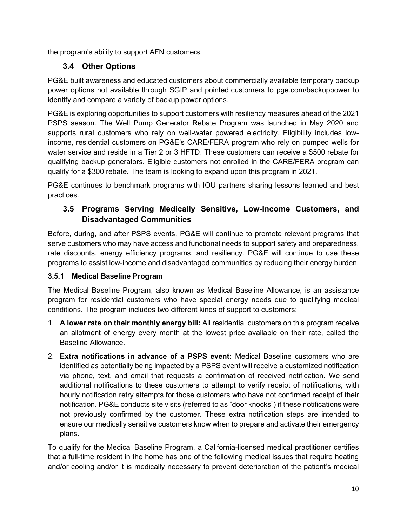<span id="page-11-0"></span>the program's ability to support AFN customers.

### **3.4 Other Options**

PG&E built awareness and educated customers about commercially available temporary backup power options not available through SGIP and pointed customers to pge.com/backuppower to identify and compare a variety of backup power options.

PG&E is exploring opportunities to support customers with resiliency measures ahead of the 2021 PSPS season. The Well Pump Generator Rebate Program was launched in May 2020 and supports rural customers who rely on well-water powered electricity. Eligibility includes lowincome, residential customers on PG&E's CARE/FERA program who rely on pumped wells for water service and reside in a Tier 2 or 3 HFTD. These customers can receive a \$500 rebate for qualifying backup generators. Eligible customers not enrolled in the CARE/FERA program can qualify for a \$300 rebate. The team is looking to expand upon this program in 2021.

PG&E continues to benchmark programs with IOU partners sharing lessons learned and best practices.

### <span id="page-11-1"></span>**3.5 Programs Serving Medically Sensitive, Low-Income Customers, and Disadvantaged Communities**

Before, during, and after PSPS events, PG&E will continue to promote relevant programs that serve customers who may have access and functional needs to support safety and preparedness, rate discounts, energy efficiency programs, and resiliency. PG&E will continue to use these programs to assist low-income and disadvantaged communities by reducing their energy burden.

### <span id="page-11-2"></span>**3.5.1 Medical Baseline Program**

The Medical Baseline Program, also known as Medical Baseline Allowance, is an assistance program for residential customers who have special energy needs due to qualifying medical conditions. The program includes two different kinds of support to customers:

- 1. **A lower rate on their monthly energy bill:** All residential customers on this program receive an allotment of energy every month at the lowest price available on their rate, called the Baseline Allowance.
- 2. **Extra notifications in advance of a PSPS event:** Medical Baseline customers who are identified as potentially being impacted by a PSPS event will receive a customized notification via phone, text, and email that requests a confirmation of received notification. We send additional notifications to these customers to attempt to verify receipt of notifications, with hourly notification retry attempts for those customers who have not confirmed receipt of their notification. PG&E conducts site visits (referred to as "door knocks") if these notifications were not previously confirmed by the customer. These extra notification steps are intended to ensure our medically sensitive customers know when to prepare and activate their emergency plans.

To qualify for the Medical Baseline Program, a California-licensed medical practitioner certifies that a full-time resident in the home has one of the following medical issues that require heating and/or cooling and/or it is medically necessary to prevent deterioration of the patient's medical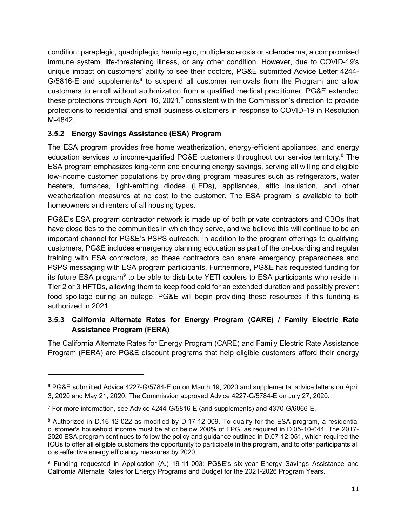condition: paraplegic, quadriplegic, hemiplegic, multiple sclerosis or scleroderma, a compromised immune system, life-threatening illness, or any other condition. However, due to COVID-19's unique impact on customers' ability to see their doctors, PG&E submitted Advice Letter 4244- G/5816-E and supplements<sup>6</sup> to suspend all customer removals from the Program and allow customers to enroll without authorization from a qualified medical practitioner. PG&E extended these protections through April 16, 2021, $<sup>7</sup>$  consistent with the Commission's direction to provide</sup> protections to residential and small business customers in response to COVID-19 in Resolution M-4842.

### <span id="page-12-0"></span>**3.5.2 Energy Savings Assistance (ESA) Program**

The ESA program provides free home weatherization, energy-efficient appliances, and energy education services to income-qualified PG&E customers throughout our service territory.<sup>8</sup> The ESA program emphasizes long-term and enduring energy savings, serving all willing and eligible low-income customer populations by providing program measures such as refrigerators, water heaters, furnaces, light-emitting diodes (LEDs), appliances, attic insulation, and other weatherization measures at no cost to the customer. The ESA program is available to both homeowners and renters of all housing types.

PG&E's ESA program contractor network is made up of both private contractors and CBOs that have close ties to the communities in which they serve, and we believe this will continue to be an important channel for PG&E's PSPS outreach. In addition to the program offerings to qualifying customers, PG&E includes emergency planning education as part of the on-boarding and regular training with ESA contractors, so these contractors can share emergency preparedness and PSPS messaging with ESA program participants. Furthermore, PG&E has requested funding for its future ESA program<sup>9</sup> to be able to distribute YETI coolers to ESA participants who reside in Tier 2 or 3 HFTDs, allowing them to keep food cold for an extended duration and possibly prevent food spoilage during an outage. PG&E will begin providing these resources if this funding is authorized in 2021.

#### <span id="page-12-1"></span>**3.5.3 California Alternate Rates for Energy Program (CARE) / Family Electric Rate Assistance Program (FERA)**

The California Alternate Rates for Energy Program (CARE) and Family Electric Rate Assistance Program (FERA) are PG&E discount programs that help eligible customers afford their energy

<sup>6</sup> PG&E submitted Advice 4227-G/5784-E on on March 19, 2020 and supplemental advice letters on April 3, 2020 and May 21, 2020. The Commission approved Advice 4227-G/5784-E on July 27, 2020.

<sup>7</sup> For more information, see Advice 4244-G/5816-E (and supplements) and 4370-G/6066-E.

<sup>8</sup> Authorized in D.16-12-022 as modified by D.17-12-009. To qualify for the ESA program, a residential customer's household income must be at or below 200% of FPG, as required in D.05-10-044. The 2017- 2020 ESA program continues to follow the policy and guidance outlined in D.07-12-051, which required the IOUs to offer all eligible customers the opportunity to participate in the program, and to offer participants all cost-effective energy efficiency measures by 2020.

<sup>9</sup> Funding requested in Application (A.) 19-11-003: PG&E's six-year Energy Savings Assistance and California Alternate Rates for Energy Programs and Budget for the 2021-2026 Program Years.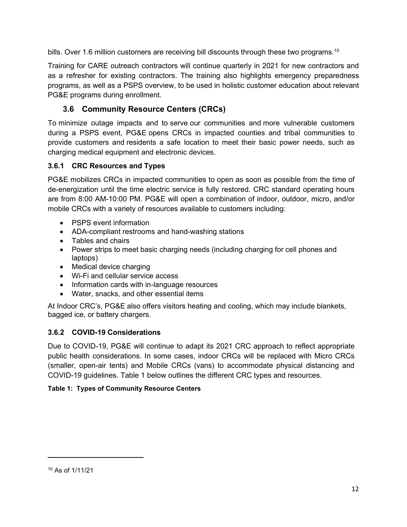bills. Over 1.6 million customers are receiving bill discounts through these two programs.<sup>10</sup>

Training for CARE outreach contractors will continue quarterly in 2021 for new contractors and as a refresher for existing contractors. The training also highlights emergency preparedness programs, as well as a PSPS overview, to be used in holistic customer education about relevant PG&E programs during enrollment.

### **3.6 Community Resource Centers (CRCs)**

<span id="page-13-0"></span>To minimize outage impacts and to serve our communities and more vulnerable customers during a PSPS event, PG&E opens CRCs in impacted counties and tribal communities to provide customers and residents a safe location to meet their basic power needs, such as charging medical equipment and electronic devices.

#### <span id="page-13-1"></span>**3.6.1 CRC Resources and Types**

PG&E mobilizes CRCs in impacted communities to open as soon as possible from the time of de-energization until the time electric service is fully restored. CRC standard operating hours are from 8:00 AM-10:00 PM. PG&E will open a combination of indoor, outdoor, micro, and/or mobile CRCs with a variety of resources available to customers including:

- PSPS event information
- ADA-compliant restrooms and hand-washing stations
- Tables and chairs
- Power strips to meet basic charging needs (including charging for cell phones and laptops)
- Medical device charging
- Wi-Fi and cellular service access
- Information cards with in-language resources
- Water, snacks, and other essential items

At Indoor CRC's, PG&E also offers visitors heating and cooling, which may include blankets, bagged ice, or battery chargers.

#### <span id="page-13-2"></span>**3.6.2 COVID-19 Considerations**

Due to COVID-19, PG&E will continue to adapt its 2021 CRC approach to reflect appropriate public health considerations. In some cases, indoor CRCs will be replaced with Micro CRCs (smaller, open-air tents) and Mobile CRCs (vans) to accommodate physical distancing and COVID-19 guidelines. [Table 1](#page-13-3) below outlines the different CRC types and resources.

#### <span id="page-13-3"></span>**Table 1: Types of Community Resource Centers**

<sup>10</sup> As of 1/11/21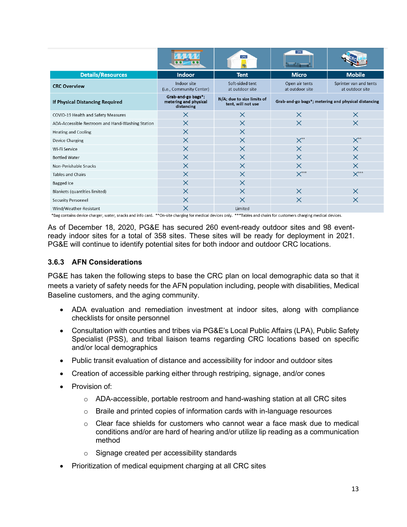|                                                  |                                                           | CRC                                              | CRC                                                 |                                           |
|--------------------------------------------------|-----------------------------------------------------------|--------------------------------------------------|-----------------------------------------------------|-------------------------------------------|
| <b>Details/Resources</b>                         | <b>Indoor</b>                                             | <b>Tent</b>                                      | <b>Micro</b>                                        | <b>Mobile</b>                             |
| <b>CRC Overview</b>                              | Indoor site<br>(i.e., Community Center)                   | Soft-sided tent<br>at outdoor site               | Open air tents<br>at outdoor site                   | Sprinter van and tents<br>at outdoor site |
| If Physical Distancing Required                  | Grab-and-go bags*;<br>metering and physical<br>distancing | N/A; due to size limits of<br>tent, will not use | Grab-and-go bags*; metering and physical distancing |                                           |
| COVID-19 Health and Safety Measures              | $\times$                                                  | $\times$                                         | X                                                   | $\times$                                  |
| ADA-Accessible Restroom and Hand-Washing Station | $\times$                                                  | $\times$                                         | $\times$                                            | $\times$                                  |
| <b>Heating and Cooling</b>                       | $\times$                                                  | $\times$                                         |                                                     |                                           |
| Device Charging                                  | $\times$                                                  | $\times$                                         | $X^{**}$                                            | $X^{**}$                                  |
| Wi-Fi Service                                    | $\times$                                                  | $\times$                                         | $\times$                                            | $\times$                                  |
| <b>Bottled Water</b>                             | $\times$                                                  | $\times$                                         | $\times$                                            | $\times$                                  |
| Non-Perishable Snacks                            | $\times$                                                  | $\times$                                         | $\times$                                            | $\times$                                  |
| <b>Tables and Chairs</b>                         | $\times$                                                  | $\times$                                         | $X^{\star\star\star}$                               | $X***$                                    |
| <b>Bagged</b> Ice                                | $\times$                                                  | $\times$                                         |                                                     |                                           |
| <b>Blankets (quantities limited)</b>             | $\times$                                                  | $\times$                                         | X                                                   | $\times$                                  |
| <b>Security Personnel</b>                        | $\times$                                                  | $\times$                                         | $\times$                                            | $\times$                                  |
| Wind/Weather-Resistant                           | X                                                         | Limited                                          |                                                     |                                           |

\*Bag contains device charger, water, snacks and info card. \*\*On-site charging for medical devices only. \*\*\*Tables and chairs for customers charging medical devices.

As of December 18, 2020, PG&E has secured 260 event-ready outdoor sites and 98 eventready indoor sites for a total of 358 sites. These sites will be ready for deployment in 2021. PG&E will continue to identify potential sites for both indoor and outdoor CRC locations.

#### <span id="page-14-0"></span>**3.6.3 AFN Considerations**

PG&E has taken the following steps to base the CRC plan on local demographic data so that it meets a variety of safety needs for the AFN population including, people with disabilities, Medical Baseline customers, and the aging community.

- ADA evaluation and remediation investment at indoor sites, along with compliance checklists for onsite personnel
- Consultation with counties and tribes via PG&E's Local Public Affairs (LPA), Public Safety Specialist (PSS), and tribal liaison teams regarding CRC locations based on specific and/or local demographics
- Public transit evaluation of distance and accessibility for indoor and outdoor sites
- Creation of accessible parking either through restriping, signage, and/or cones
- Provision of:
	- o ADA-accessible, portable restroom and hand-washing station at all CRC sites
	- $\circ$  Braile and printed copies of information cards with in-language resources
	- $\circ$  Clear face shields for customers who cannot wear a face mask due to medical conditions and/or are hard of hearing and/or utilize lip reading as a communication method
	- o Signage created per accessibility standards
- Prioritization of medical equipment charging at all CRC sites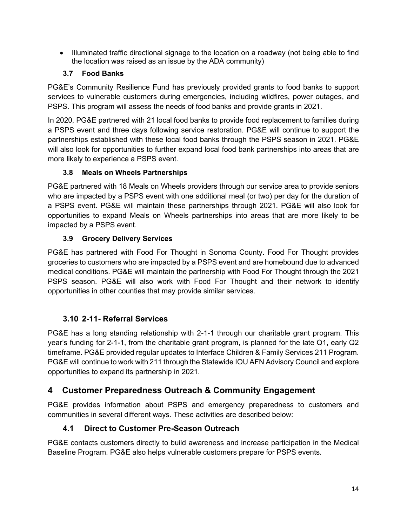• Illuminated traffic directional signage to the location on a roadway (not being able to find the location was raised as an issue by the ADA community)

#### **3.7 Food Banks**

<span id="page-15-0"></span>PG&E's Community Resilience Fund has previously provided grants to food banks to support services to vulnerable customers during emergencies, including wildfires, power outages, and PSPS. This program will assess the needs of food banks and provide grants in 2021.

In 2020, PG&E partnered with 21 local food banks to provide food replacement to families during a PSPS event and three days following service restoration. PG&E will continue to support the partnerships established with these local food banks through the PSPS season in 2021. PG&E will also look for opportunities to further expand local food bank partnerships into areas that are more likely to experience a PSPS event.

#### **3.8 Meals on Wheels Partnerships**

<span id="page-15-1"></span>PG&E partnered with 18 Meals on Wheels providers through our service area to provide seniors who are impacted by a PSPS event with one additional meal (or two) per day for the duration of a PSPS event. PG&E will maintain these partnerships through 2021. PG&E will also look for opportunities to expand Meals on Wheels partnerships into areas that are more likely to be impacted by a PSPS event.

#### **3.9 Grocery Delivery Services**

<span id="page-15-2"></span>PG&E has partnered with Food For Thought in Sonoma County. Food For Thought provides groceries to customers who are impacted by a PSPS event and are homebound due to advanced medical conditions. PG&E will maintain the partnership with Food For Thought through the 2021 PSPS season. PG&E will also work with Food For Thought and their network to identify opportunities in other counties that may provide similar services.

### **3.10 2-11- Referral Services**

<span id="page-15-3"></span>PG&E has a long standing relationship with 2-1-1 through our charitable grant program. This year's funding for 2-1-1, from the charitable grant program, is planned for the late Q1, early Q2 timeframe. PG&E provided regular updates to Interface Children & Family Services 211 Program. PG&E will continue to work with 211 through the Statewide IOU AFN Advisory Council and explore opportunities to expand its partnership in 2021.

### <span id="page-15-4"></span>**4 Customer Preparedness Outreach & Community Engagement**

PG&E provides information about PSPS and emergency preparedness to customers and communities in several different ways. These activities are described below:

### <span id="page-15-5"></span>**4.1 Direct to Customer Pre-Season Outreach**

PG&E contacts customers directly to build awareness and increase participation in the Medical Baseline Program. PG&E also helps vulnerable customers prepare for PSPS events.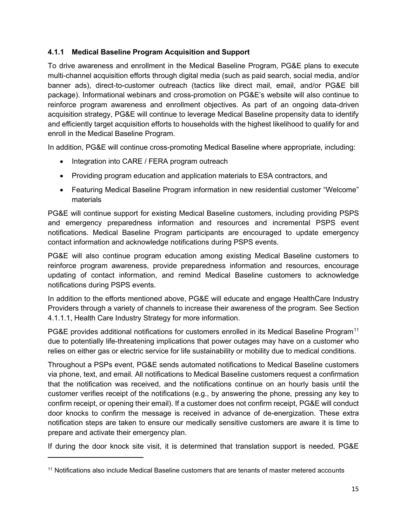#### <span id="page-16-0"></span>**4.1.1 Medical Baseline Program Acquisition and Support**

To drive awareness and enrollment in the Medical Baseline Program, PG&E plans to execute multi-channel acquisition efforts through digital media (such as paid search, social media, and/or banner ads), direct-to-customer outreach (tactics like direct mail, email, and/or PG&E bill package). Informational webinars and cross-promotion on PG&E's website will also continue to reinforce program awareness and enrollment objectives. As part of an ongoing data-driven acquisition strategy, PG&E will continue to leverage Medical Baseline propensity data to identify and efficiently target acquisition efforts to households with the highest likelihood to qualify for and enroll in the Medical Baseline Program.

In addition, PG&E will continue cross-promoting Medical Baseline where appropriate, including:

- Integration into CARE / FERA program outreach
- Providing program education and application materials to ESA contractors, and
- Featuring Medical Baseline Program information in new residential customer "Welcome" materials

PG&E will continue support for existing Medical Baseline customers, including providing PSPS and emergency preparedness information and resources and incremental PSPS event notifications. Medical Baseline Program participants are encouraged to update emergency contact information and acknowledge notifications during PSPS events.

PG&E will also continue program education among existing Medical Baseline customers to reinforce program awareness, provide preparedness information and resources, encourage updating of contact information, and remind Medical Baseline customers to acknowledge notifications during PSPS events.

In addition to the efforts mentioned above, PG&E will educate and engage HealthCare Industry Providers through a variety of channels to increase their awareness of the program. See Section 4.1.1.1, Health Care Industry Strategy for more information.

PG&E provides additional notifications for customers enrolled in its Medical Baseline Program<sup>11</sup> due to potentially life-threatening implications that power outages may have on a customer who relies on either gas or electric service for life sustainability or mobility due to medical conditions.

Throughout a PSPs event, PG&E sends automated notifications to Medical Baseline customers via phone, text, and email. All notifications to Medical Baseline customers request a confirmation that the notification was received, and the notifications continue on an hourly basis until the customer verifies receipt of the notifications (e.g., by answering the phone, pressing any key to confirm receipt, or opening their email). If a customer does not confirm receipt, PG&E will conduct door knocks to confirm the message is received in advance of de-energization. These extra notification steps are taken to ensure our medically sensitive customers are aware it is time to prepare and activate their emergency plan.

If during the door knock site visit, it is determined that translation support is needed, PG&E

<sup>&</sup>lt;sup>11</sup> Notifications also include Medical Baseline customers that are tenants of master metered accounts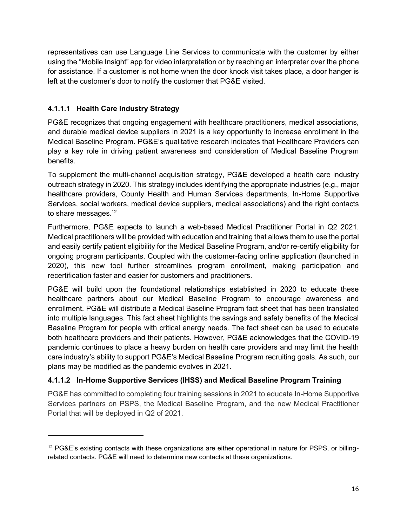representatives can use Language Line Services to communicate with the customer by either using the "Mobile Insight" app for video interpretation or by reaching an interpreter over the phone for assistance. If a customer is not home when the door knock visit takes place, a door hanger is left at the customer's door to notify the customer that PG&E visited.

### **4.1.1.1 Health Care Industry Strategy**

PG&E recognizes that ongoing engagement with healthcare practitioners, medical associations, and durable medical device suppliers in 2021 is a key opportunity to increase enrollment in the Medical Baseline Program. PG&E's qualitative research indicates that Healthcare Providers can play a key role in driving patient awareness and consideration of Medical Baseline Program benefits.

To supplement the multi-channel acquisition strategy, PG&E developed a health care industry outreach strategy in 2020. This strategy includes identifying the appropriate industries (e.g., major healthcare providers, County Health and Human Services departments, In-Home Supportive Services, social workers, medical device suppliers, medical associations) and the right contacts to share messages.<sup>12</sup>

Furthermore, PG&E expects to launch a web-based Medical Practitioner Portal in Q2 2021. Medical practitioners will be provided with education and training that allows them to use the portal and easily certify patient eligibility for the Medical Baseline Program, and/or re-certify eligibility for ongoing program participants. Coupled with the customer-facing online application (launched in 2020), this new tool further streamlines program enrollment, making participation and recertification faster and easier for customers and practitioners.

PG&E will build upon the foundational relationships established in 2020 to educate these healthcare partners about our Medical Baseline Program to encourage awareness and enrollment. PG&E will distribute a Medical Baseline Program fact sheet that has been translated into multiple languages. This fact sheet highlights the savings and safety benefits of the Medical Baseline Program for people with critical energy needs. The fact sheet can be used to educate both healthcare providers and their patients. However, PG&E acknowledges that the COVID-19 pandemic continues to place a heavy burden on health care providers and may limit the health care industry's ability to support PG&E's Medical Baseline Program recruiting goals. As such, our plans may be modified as the pandemic evolves in 2021.

### <span id="page-17-0"></span>**4.1.1.2 In-Home Supportive Services (IHSS) and Medical Baseline Program Training**

PG&E has committed to completing four training sessions in 2021 to educate In-Home Supportive Services partners on PSPS, the Medical Baseline Program, and the new Medical Practitioner Portal that will be deployed in Q2 of 2021.

<sup>12</sup> PG&E's existing contacts with these organizations are either operational in nature for PSPS, or billingrelated contacts. PG&E will need to determine new contacts at these organizations.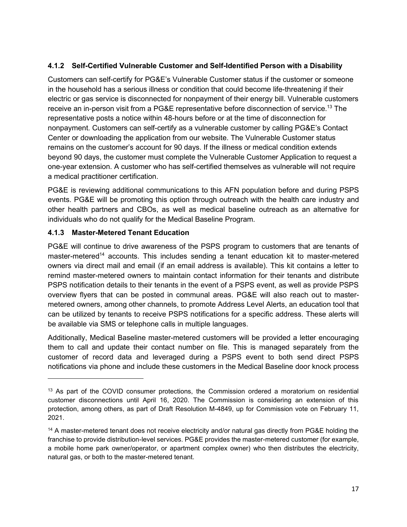#### <span id="page-18-0"></span>**4.1.2 Self-Certified Vulnerable Customer and Self-Identified Person with a Disability**

Customers can self-certify for PG&E's Vulnerable Customer status if the customer or someone in the household has a serious illness or condition that could become life-threatening if their electric or gas service is disconnected for nonpayment of their energy bill. Vulnerable customers receive an in-person visit from a PG&E representative before disconnection of service. <sup>13</sup> The representative posts a notice within 48-hours before or at the time of disconnection for nonpayment. Customers can self-certify as a vulnerable customer by calling PG&E's Contact Center or downloading the application from our website. The Vulnerable Customer status remains on the customer's account for 90 days. If the illness or medical condition extends beyond 90 days, the customer must complete the Vulnerable Customer Application to request a one-year extension. A customer who has self-certified themselves as vulnerable will not require a medical practitioner certification.

PG&E is reviewing additional communications to this AFN population before and during PSPS events. PG&E will be promoting this option through outreach with the health care industry and other health partners and CBOs, as well as medical baseline outreach as an alternative for individuals who do not qualify for the Medical Baseline Program.

#### <span id="page-18-1"></span>**4.1.3 Master-Metered Tenant Education**

PG&E will continue to drive awareness of the PSPS program to customers that are tenants of master-metered<sup>14</sup> accounts. This includes sending a tenant education kit to master-metered owners via direct mail and email (if an email address is available). This kit contains a letter to remind master-metered owners to maintain contact information for their tenants and distribute PSPS notification details to their tenants in the event of a PSPS event, as well as provide PSPS overview flyers that can be posted in communal areas. PG&E will also reach out to mastermetered owners, among other channels, to promote Address Level Alerts, an education tool that can be utilized by tenants to receive PSPS notifications for a specific address. These alerts will be available via SMS or telephone calls in multiple languages.

Additionally, Medical Baseline master-metered customers will be provided a letter encouraging them to call and update their contact number on file. This is managed separately from the customer of record data and leveraged during a PSPS event to both send direct PSPS notifications via phone and include these customers in the Medical Baseline door knock process

<sup>&</sup>lt;sup>13</sup> As part of the COVID consumer protections, the Commission ordered a moratorium on residential customer disconnections until April 16, 2020. The Commission is considering an extension of this protection, among others, as part of Draft Resolution M-4849, up for Commission vote on February 11, 2021.

<sup>14</sup> A master-metered tenant does not receive electricity and/or natural gas directly from PG&E holding the franchise to provide distribution-level services. PG&E provides the master-metered customer (for example, a mobile home park owner/operator, or apartment complex owner) who then distributes the electricity, natural gas, or both to the master-metered tenant.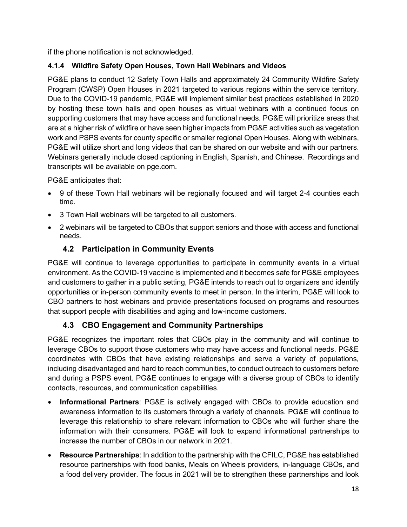if the phone notification is not acknowledged.

### <span id="page-19-0"></span>**4.1.4 Wildfire Safety Open Houses, Town Hall Webinars and Videos**

PG&E plans to conduct 12 Safety Town Halls and approximately 24 Community Wildfire Safety Program (CWSP) Open Houses in 2021 targeted to various regions within the service territory. Due to the COVID-19 pandemic, PG&E will implement similar best practices established in 2020 by hosting these town halls and open houses as virtual webinars with a continued focus on supporting customers that may have access and functional needs. PG&E will prioritize areas that are at a higher risk of wildfire or have seen higher impacts from PG&E activities such as vegetation work and PSPS events for county specific or smaller regional Open Houses. Along with webinars, PG&E will utilize short and long videos that can be shared on our website and with our partners. Webinars generally include closed captioning in English, Spanish, and Chinese. Recordings and transcripts will be available on pge.com.

PG&E anticipates that:

- 9 of these Town Hall webinars will be regionally focused and will target 2-4 counties each time.
- 3 Town Hall webinars will be targeted to all customers.
- 2 webinars will be targeted to CBOs that support seniors and those with access and functional needs.

### **4.2 Participation in Community Events**

<span id="page-19-1"></span>PG&E will continue to leverage opportunities to participate in community events in a virtual environment. As the COVID-19 vaccine is implemented and it becomes safe for PG&E employees and customers to gather in a public setting, PG&E intends to reach out to organizers and identify opportunities or in-person community events to meet in person. In the interim, PG&E will look to CBO partners to host webinars and provide presentations focused on programs and resources that support people with disabilities and aging and low-income customers.

### **4.3 CBO Engagement and Community Partnerships**

<span id="page-19-2"></span>PG&E recognizes the important roles that CBOs play in the community and will continue to leverage CBOs to support those customers who may have access and functional needs. PG&E coordinates with CBOs that have existing relationships and serve a variety of populations, including disadvantaged and hard to reach communities, to conduct outreach to customers before and during a PSPS event. PG&E continues to engage with a diverse group of CBOs to identify contacts, resources, and communication capabilities.

- **Informational Partners**: PG&E is actively engaged with CBOs to provide education and awareness information to its customers through a variety of channels. PG&E will continue to leverage this relationship to share relevant information to CBOs who will further share the information with their consumers. PG&E will look to expand informational partnerships to increase the number of CBOs in our network in 2021.
- **Resource Partnerships**: In addition to the partnership with the CFILC, PG&E has established resource partnerships with food banks, Meals on Wheels providers, in-language CBOs, and a food delivery provider. The focus in 2021 will be to strengthen these partnerships and look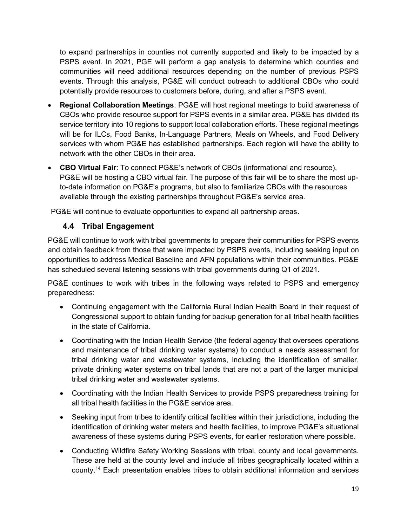to expand partnerships in counties not currently supported and likely to be impacted by a PSPS event. In 2021, PGE will perform a gap analysis to determine which counties and communities will need additional resources depending on the number of previous PSPS events. Through this analysis, PG&E will conduct outreach to additional CBOs who could potentially provide resources to customers before, during, and after a PSPS event.

- **Regional Collaboration Meetings**: PG&E will host regional meetings to build awareness of CBOs who provide resource support for PSPS events in a similar area. PG&E has divided its service territory into 10 regions to support local collaboration efforts. These regional meetings will be for ILCs, Food Banks, In-Language Partners, Meals on Wheels, and Food Delivery services with whom PG&E has established partnerships. Each region will have the ability to network with the other CBOs in their area.
- **CBO Virtual Fair**: To connect PG&E's network of CBOs (informational and resource), PG&E will be hosting a CBO virtual fair. The purpose of this fair will be to share the most upto-date information on PG&E's programs, but also to familiarize CBOs with the resources available through the existing partnerships throughout PG&E's service area.

<span id="page-20-0"></span>PG&E will continue to evaluate opportunities to expand all partnership areas.

### **4.4 Tribal Engagement**

<span id="page-20-1"></span>PG&E will continue to work with tribal governments to prepare their communities for PSPS events and obtain feedback from those that were impacted by PSPS events, including seeking input on opportunities to address Medical Baseline and AFN populations within their communities. PG&E has scheduled several listening sessions with tribal governments during Q1 of 2021.

PG&E continues to work with tribes in the following ways related to PSPS and emergency preparedness:

- Continuing engagement with the California Rural Indian Health Board in their request of Congressional support to obtain funding for backup generation for all tribal health facilities in the state of California.
- Coordinating with the Indian Health Service (the federal agency that oversees operations and maintenance of tribal drinking water systems) to conduct a needs assessment for tribal drinking water and wastewater systems, including the identification of smaller, private drinking water systems on tribal lands that are not a part of the larger municipal tribal drinking water and wastewater systems.
- Coordinating with the Indian Health Services to provide PSPS preparedness training for all tribal health facilities in the PG&E service area.
- Seeking input from tribes to identify critical facilities within their jurisdictions, including the identification of drinking water meters and health facilities, to improve PG&E's situational awareness of these systems during PSPS events, for earlier restoration where possible.
- Conducting Wildfire Safety Working Sessions with tribal, county and local governments. These are held at the county level and include all tribes geographically located within a county.<sup>14</sup> Each presentation enables tribes to obtain additional information and services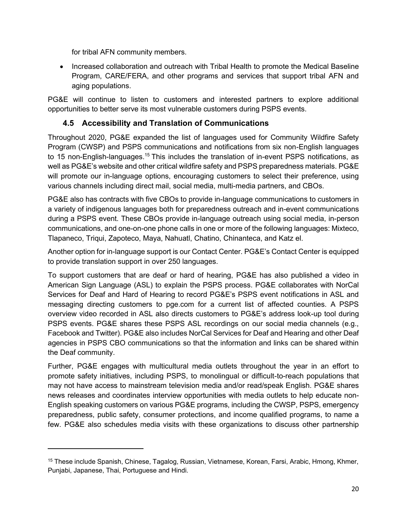for tribal AFN community members.

• Increased collaboration and outreach with Tribal Health to promote the Medical Baseline Program, CARE/FERA, and other programs and services that support tribal AFN and aging populations.

PG&E will continue to listen to customers and interested partners to explore additional opportunities to better serve its most vulnerable customers during PSPS events.

### **4.5 Accessibility and Translation of Communications**

<span id="page-21-0"></span>Throughout 2020, PG&E expanded the list of languages used for Community Wildfire Safety Program (CWSP) and PSPS communications and notifications from six non-English languages to 15 non-English-languages.<sup>15</sup> This includes the translation of in-event PSPS notifications, as well as PG&E's website and other critical wildfire safety and PSPS preparedness materials. PG&E will promote our in-language options, encouraging customers to select their preference, using various channels including direct mail, social media, multi-media partners, and CBOs.

PG&E also has contracts with five CBOs to provide in-language communications to customers in a variety of indigenous languages both for preparedness outreach and in-event communications during a PSPS event. These CBOs provide in-language outreach using social media, in-person communications, and one-on-one phone calls in one or more of the following languages: Mixteco, Tlapaneco, Triqui, Zapoteco, Maya, Nahuatl, Chatino, Chinanteca, and Katz el.

Another option for in-language support is our Contact Center. PG&E's Contact Center is equipped to provide translation support in over 250 languages.

To support customers that are deaf or hard of hearing, PG&E has also published a video in American Sign Language (ASL) to explain the PSPS process. PG&E collaborates with NorCal Services for Deaf and Hard of Hearing to record PG&E's PSPS event notifications in ASL and messaging directing customers to pge.com for a current list of affected counties. A PSPS overview video recorded in ASL also directs customers to PG&E's address look-up tool during PSPS events. PG&E shares these PSPS ASL recordings on our social media channels (e.g., Facebook and Twitter). PG&E also includes NorCal Services for Deaf and Hearing and other Deaf agencies in PSPS CBO communications so that the information and links can be shared within the Deaf community.

Further, PG&E engages with multicultural media outlets throughout the year in an effort to promote safety initiatives, including PSPS, to monolingual or difficult-to-reach populations that may not have access to mainstream television media and/or read/speak English. PG&E shares news releases and coordinates interview opportunities with media outlets to help educate non-English speaking customers on various PG&E programs, including the CWSP, PSPS, emergency preparedness, public safety, consumer protections, and income qualified programs, to name a few. PG&E also schedules media visits with these organizations to discuss other partnership

<sup>15</sup> These include Spanish, Chinese, Tagalog, Russian, Vietnamese, Korean, Farsi, Arabic, Hmong, Khmer, Punjabi, Japanese, Thai, Portuguese and Hindi.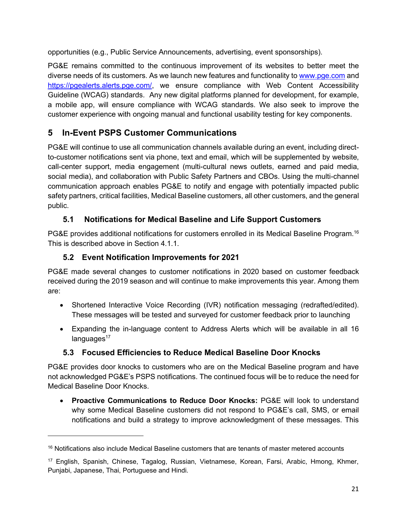opportunities (e.g., Public Service Announcements, advertising, event sponsorships).

PG&E remains committed to the continuous improvement of its websites to better meet the diverse needs of its customers. As we launch new features and functionality to www.pge.com and https://pgealerts.alerts.pge.com/, we ensure compliance with Web Content Accessibility Guideline (WCAG) standards. Any new digital platforms planned for development, for example, a mobile app, will ensure compliance with WCAG standards. We also seek to improve the customer experience with ongoing manual and functional usability testing for key components.

# <span id="page-22-0"></span>**5 In-Event PSPS Customer Communications**

PG&E will continue to use all communication channels available during an event, including directto-customer notifications sent via phone, text and email, which will be supplemented by website, call-center support, media engagement (multi-cultural news outlets, earned and paid media, social media), and collaboration with Public Safety Partners and CBOs. Using the multi-channel communication approach enables PG&E to notify and engage with potentially impacted public safety partners, critical facilities, Medical Baseline customers, all other customers, and the general public.

### <span id="page-22-1"></span>**5.1 Notifications for Medical Baseline and Life Support Customers**

<span id="page-22-2"></span>PG&E provides additional notifications for customers enrolled in its Medical Baseline Program.<sup>16</sup> This is described above in Section 4.1.1.

### **5.2 Event Notification Improvements for 2021**

<span id="page-22-3"></span>PG&E made several changes to customer notifications in 2020 based on customer feedback received during the 2019 season and will continue to make improvements this year. Among them are:

- Shortened Interactive Voice Recording (IVR) notification messaging (redrafted/edited). These messages will be tested and surveyed for customer feedback prior to launching
- Expanding the in-language content to Address Alerts which will be available in all 16  $language<sup>17</sup>$

### **5.3 Focused Efficiencies to Reduce Medical Baseline Door Knocks**

<span id="page-22-4"></span>PG&E provides door knocks to customers who are on the Medical Baseline program and have not acknowledged PG&E's PSPS notifications. The continued focus will be to reduce the need for Medical Baseline Door Knocks.

• **Proactive Communications to Reduce Door Knocks:** PG&E will look to understand why some Medical Baseline customers did not respond to PG&E's call, SMS, or email notifications and build a strategy to improve acknowledgment of these messages. This

<sup>&</sup>lt;sup>16</sup> Notifications also include Medical Baseline customers that are tenants of master metered accounts

<sup>17</sup> English, Spanish, Chinese, Tagalog, Russian, Vietnamese, Korean, Farsi, Arabic, Hmong, Khmer, Punjabi, Japanese, Thai, Portuguese and Hindi.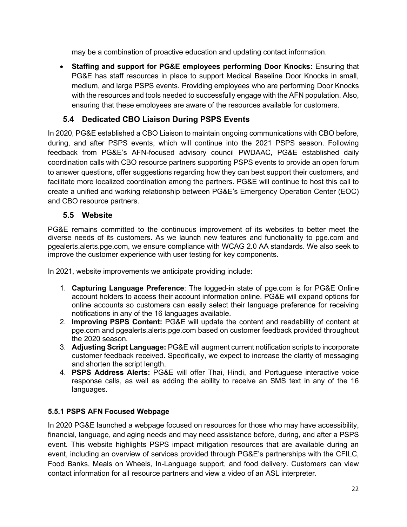may be a combination of proactive education and updating contact information.

• **Staffing and support for PG&E employees performing Door Knocks:** Ensuring that PG&E has staff resources in place to support Medical Baseline Door Knocks in small, medium, and large PSPS events. Providing employees who are performing Door Knocks with the resources and tools needed to successfully engage with the AFN population. Also, ensuring that these employees are aware of the resources available for customers.

## **5.4 Dedicated CBO Liaison During PSPS Events**

<span id="page-23-0"></span>In 2020, PG&E established a CBO Liaison to maintain ongoing communications with CBO before, during, and after PSPS events, which will continue into the 2021 PSPS season. Following feedback from PG&E's AFN-focused advisory council PWDAAC, PG&E established daily coordination calls with CBO resource partners supporting PSPS events to provide an open forum to answer questions, offer suggestions regarding how they can best support their customers, and facilitate more localized coordination among the partners. PG&E will continue to host this call to create a unified and working relationship between PG&E's Emergency Operation Center (EOC) and CBO resource partners.

### **5.5 Website**

<span id="page-23-1"></span>PG&E remains committed to the continuous improvement of its websites to better meet the diverse needs of its customers. As we launch new features and functionality to pge.com and pgealerts.alerts.pge.com, we ensure compliance with WCAG 2.0 AA standards. We also seek to improve the customer experience with user testing for key components.

In 2021, website improvements we anticipate providing include:

- 1. **Capturing Language Preference**: The logged-in state of pge.com is for PG&E Online account holders to access their account information online. PG&E will expand options for online accounts so customers can easily select their language preference for receiving notifications in any of the 16 languages available.
- 2. **Improving PSPS Content:** PG&E will update the content and readability of content at pge.com and pgealerts.alerts.pge.com based on customer feedback provided throughout the 2020 season.
- 3. **Adjusting Script Language:** PG&E will augment current notification scripts to incorporate customer feedback received. Specifically, we expect to increase the clarity of messaging and shorten the script length.
- 4. **PSPS Address Alerts:** PG&E will offer Thai, Hindi, and Portuguese interactive voice response calls, as well as adding the ability to receive an SMS text in any of the 16 languages.

### <span id="page-23-2"></span>**5.5.1 PSPS AFN Focused Webpage**

In 2020 PG&E launched a webpage focused on resources for those who may have accessibility, financial, language, and aging needs and may need assistance before, during, and after a PSPS event. This website highlights PSPS impact mitigation resources that are available during an event, including an overview of services provided through PG&E's partnerships with the CFILC, Food Banks, Meals on Wheels, In-Language support, and food delivery. Customers can view contact information for all resource partners and view a video of an ASL interpreter.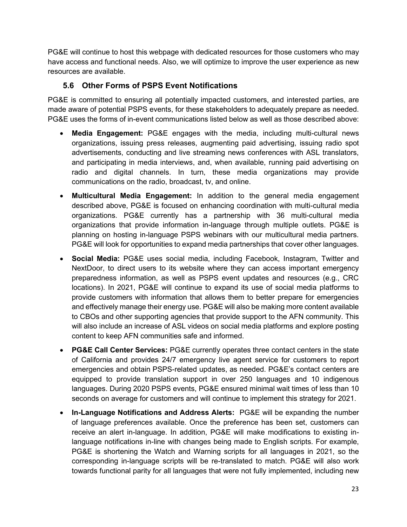PG&E will continue to host this webpage with dedicated resources for those customers who may have access and functional needs. Also, we will optimize to improve the user experience as new resources are available.

#### **5.6 Other Forms of PSPS Event Notifications**

<span id="page-24-0"></span>PG&E is committed to ensuring all potentially impacted customers, and interested parties, are made aware of potential PSPS events, for these stakeholders to adequately prepare as needed. PG&E uses the forms of in-event communications listed below as well as those described above:

- **Media Engagement:** PG&E engages with the media, including multi-cultural news organizations, issuing press releases, augmenting paid advertising, issuing radio spot advertisements, conducting and live streaming news conferences with ASL translators, and participating in media interviews, and, when available, running paid advertising on radio and digital channels. In turn, these media organizations may provide communications on the radio, broadcast, tv, and online.
- **Multicultural Media Engagement:** In addition to the general media engagement described above, PG&E is focused on enhancing coordination with multi-cultural media organizations. PG&E currently has a partnership with 36 multi-cultural media organizations that provide information in-language through multiple outlets. PG&E is planning on hosting in-language PSPS webinars with our multicultural media partners. PG&E will look for opportunities to expand media partnerships that cover other languages.
- **Social Media:** PG&E uses social media, including Facebook, Instagram, Twitter and NextDoor, to direct users to its website where they can access important emergency preparedness information, as well as PSPS event updates and resources (e.g., CRC locations). In 2021, PG&E will continue to expand its use of social media platforms to provide customers with information that allows them to better prepare for emergencies and effectively manage their energy use. PG&E will also be making more content available to CBOs and other supporting agencies that provide support to the AFN community. This will also include an increase of ASL videos on social media platforms and explore posting content to keep AFN communities safe and informed.
- **PG&E Call Center Services:** PG&E currently operates three contact centers in the state of California and provides 24/7 emergency live agent service for customers to report emergencies and obtain PSPS-related updates, as needed. PG&E's contact centers are equipped to provide translation support in over 250 languages and 10 indigenous languages. During 2020 PSPS events, PG&E ensured minimal wait times of less than 10 seconds on average for customers and will continue to implement this strategy for 2021.
- **In-Language Notifications and Address Alerts:** PG&E will be expanding the number of language preferences available. Once the preference has been set, customers can receive an alert in-language. In addition, PG&E will make modifications to existing inlanguage notifications in-line with changes being made to English scripts. For example, PG&E is shortening the Watch and Warning scripts for all languages in 2021, so the corresponding in-language scripts will be re-translated to match. PG&E will also work towards functional parity for all languages that were not fully implemented, including new